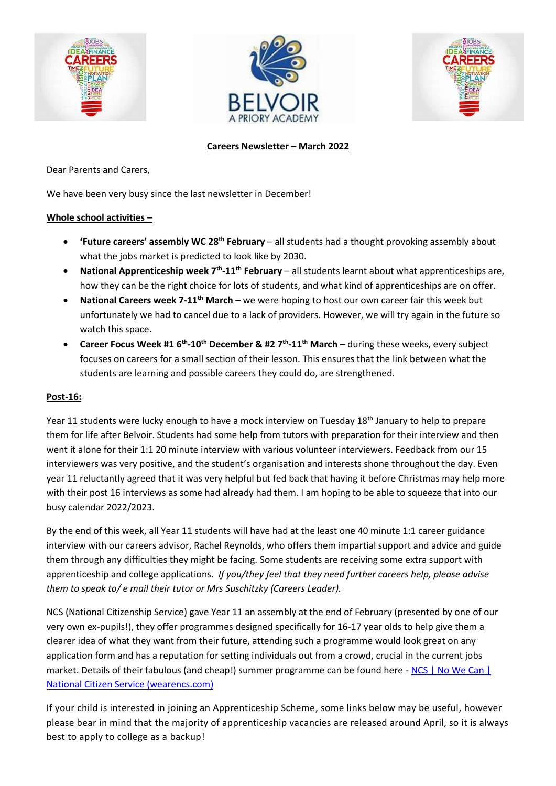





# **Careers Newsletter – March 2022**

Dear Parents and Carers,

We have been very busy since the last newsletter in December!

## **Whole school activities –**

- **'Future careers' assembly WC 28th February** all students had a thought provoking assembly about what the jobs market is predicted to look like by 2030.
- **National Apprenticeship week 7th -11th February** all students learnt about what apprenticeships are, how they can be the right choice for lots of students, and what kind of apprenticeships are on offer.
- **National Careers week 7-11th March –** we were hoping to host our own career fair this week but unfortunately we had to cancel due to a lack of providers. However, we will try again in the future so watch this space.
- **Career Focus Week #1 6th -10th December & #2 7th -11th March –** during these weeks, every subject focuses on careers for a small section of their lesson. This ensures that the link between what the students are learning and possible careers they could do, are strengthened.

#### **Post-16:**

Year 11 students were lucky enough to have a mock interview on Tuesday 18<sup>th</sup> January to help to prepare them for life after Belvoir. Students had some help from tutors with preparation for their interview and then went it alone for their 1:1 20 minute interview with various volunteer interviewers. Feedback from our 15 interviewers was very positive, and the student's organisation and interests shone throughout the day. Even year 11 reluctantly agreed that it was very helpful but fed back that having it before Christmas may help more with their post 16 interviews as some had already had them. I am hoping to be able to squeeze that into our busy calendar 2022/2023.

By the end of this week, all Year 11 students will have had at the least one 40 minute 1:1 career guidance interview with our careers advisor, Rachel Reynolds, who offers them impartial support and advice and guide them through any difficulties they might be facing. Some students are receiving some extra support with apprenticeship and college applications. *If you/they feel that they need further careers help, please advise them to speak to/ e mail their tutor or Mrs Suschitzky (Careers Leader).*

NCS (National Citizenship Service) gave Year 11 an assembly at the end of February (presented by one of our very own ex-pupils!), they offer programmes designed specifically for 16-17 year olds to help give them a clearer idea of what they want from their future, attending such a programme would look great on any application form and has a reputation for setting individuals out from a crowd, crucial in the current jobs market. Details of their fabulous (and cheap!) summer programme can be found here - NCS | No We Can | [National Citizen Service \(wearencs.com\)](https://wearencs.com/)

If your child is interested in joining an Apprenticeship Scheme, some links below may be useful, however please bear in mind that the majority of apprenticeship vacancies are released around April, so it is always best to apply to college as a backup!